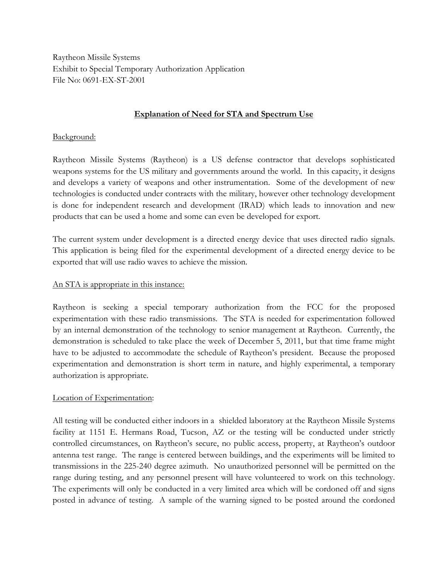Raytheon Missile Systems Exhibit to Special Temporary Authorization Application File No: 0691-EX-ST-2001

### **Explanation of Need for STA and Spectrum Use**

### Background:

Raytheon Missile Systems (Raytheon) is a US defense contractor that develops sophisticated weapons systems for the US military and governments around the world. In this capacity, it designs and develops a variety of weapons and other instrumentation. Some of the development of new technologies is conducted under contracts with the military, however other technology development is done for independent research and development (IRAD) which leads to innovation and new products that can be used a home and some can even be developed for export.

The current system under development is a directed energy device that uses directed radio signals. This application is being filed for the experimental development of a directed energy device to be exported that will use radio waves to achieve the mission.

# An STA is appropriate in this instance:

Raytheon is seeking a special temporary authorization from the FCC for the proposed experimentation with these radio transmissions. The STA is needed for experimentation followed by an internal demonstration of the technology to senior management at Raytheon. Currently, the demonstration is scheduled to take place the week of December 5, 2011, but that time frame might have to be adjusted to accommodate the schedule of Raytheon's president. Because the proposed experimentation and demonstration is short term in nature, and highly experimental, a temporary authorization is appropriate.

#### Location of Experimentation:

All testing will be conducted either indoors in a shielded laboratory at the Raytheon Missile Systems facility at 1151 E. Hermans Road, Tucson, AZ or the testing will be conducted under strictly controlled circumstances, on Raytheon's secure, no public access, property, at Raytheon's outdoor antenna test range. The range is centered between buildings, and the experiments will be limited to transmissions in the 225-240 degree azimuth. No unauthorized personnel will be permitted on the range during testing, and any personnel present will have volunteered to work on this technology. The experiments will only be conducted in a very limited area which will be cordoned off and signs posted in advance of testing. A sample of the warning signed to be posted around the cordoned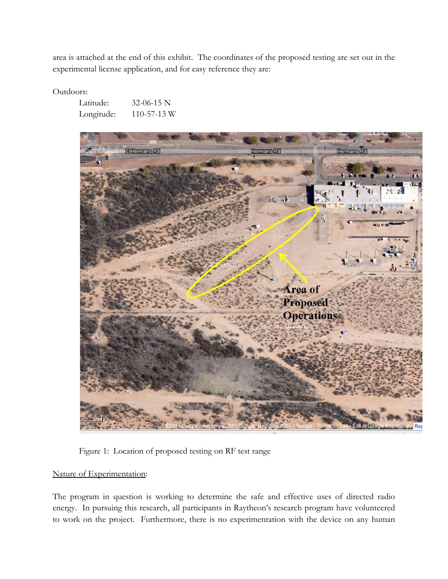area is attached at the end of this exhibit. The coordinates of the proposed testing are set out in the experimental license application, and for easy reference they are:

Outdoors:

| Latitude:  | $32-06-15$ N      |
|------------|-------------------|
| Longitude: | $110 - 57 - 13$ W |



Figure 1: Location of proposed testing on RF test range

# Nature of Experimentation:

The program in question is working to determine the safe and effective uses of directed radio energy. In pursuing this research, all participants in Raytheon's research program have volunteered to work on the project. Furthermore, there is no experimentation with the device on any human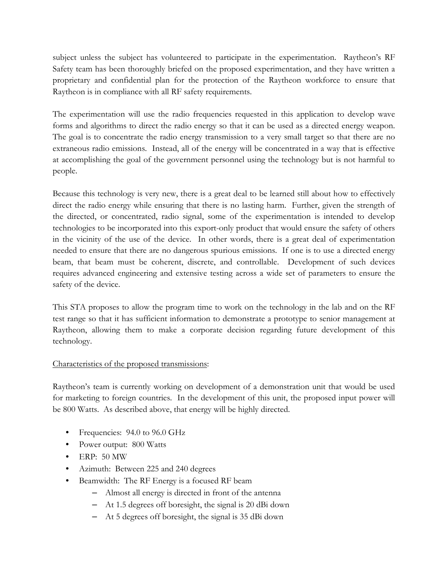subject unless the subject has volunteered to participate in the experimentation. Raytheon's RF Safety team has been thoroughly briefed on the proposed experimentation, and they have written a proprietary and confidential plan for the protection of the Raytheon workforce to ensure that Raytheon is in compliance with all RF safety requirements.

The experimentation will use the radio frequencies requested in this application to develop wave forms and algorithms to direct the radio energy so that it can be used as a directed energy weapon. The goal is to concentrate the radio energy transmission to a very small target so that there are no extraneous radio emissions. Instead, all of the energy will be concentrated in a way that is effective at accomplishing the goal of the government personnel using the technology but is not harmful to people.

Because this technology is very new, there is a great deal to be learned still about how to effectively direct the radio energy while ensuring that there is no lasting harm. Further, given the strength of the directed, or concentrated, radio signal, some of the experimentation is intended to develop technologies to be incorporated into this export-only product that would ensure the safety of others in the vicinity of the use of the device. In other words, there is a great deal of experimentation needed to ensure that there are no dangerous spurious emissions. If one is to use a directed energy beam, that beam must be coherent, discrete, and controllable. Development of such devices requires advanced engineering and extensive testing across a wide set of parameters to ensure the safety of the device.

This STA proposes to allow the program time to work on the technology in the lab and on the RF test range so that it has sufficient information to demonstrate a prototype to senior management at Raytheon, allowing them to make a corporate decision regarding future development of this technology.

#### Characteristics of the proposed transmissions:

Raytheon's team is currently working on development of a demonstration unit that would be used for marketing to foreign countries. In the development of this unit, the proposed input power will be 800 Watts. As described above, that energy will be highly directed.

- Frequencies: 94.0 to 96.0 GHz
- Power output: 800 Watts
- ERP: 50 MW
- Azimuth: Between 225 and 240 degrees
- Beamwidth: The RF Energy is a focused RF beam
	- Almost all energy is directed in front of the antenna
	- At 1.5 degrees off boresight, the signal is 20 dBi down
	- At 5 degrees off boresight, the signal is 35 dBi down